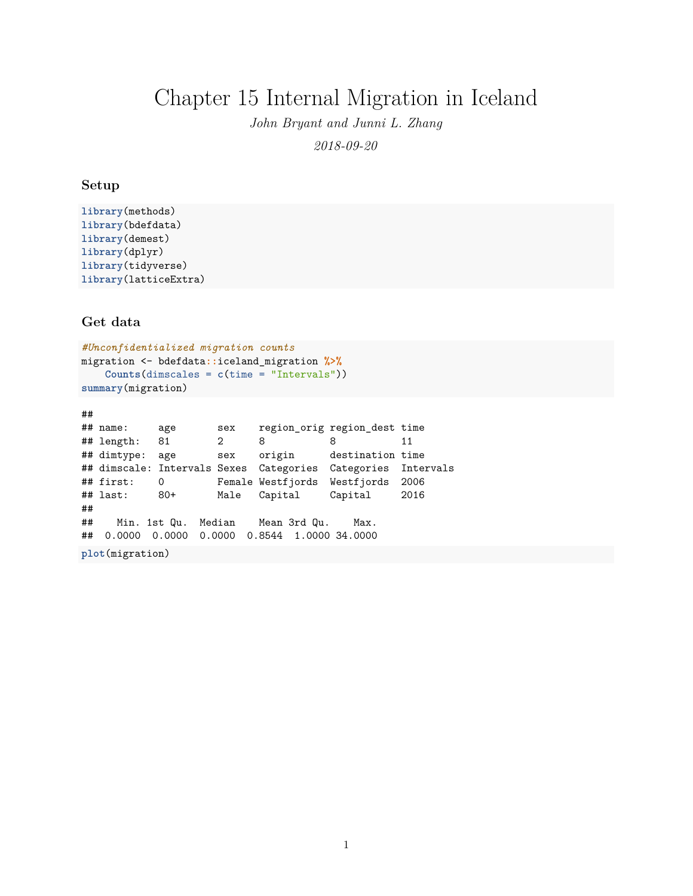# Chapter 15 Internal Migration in Iceland

*John Bryant and Junni L. Zhang*

*2018-09-20*

## **Setup**

```
library(methods)
library(bdefdata)
library(demest)
library(dplyr)
library(tidyverse)
library(latticeExtra)
```
**Get data**

```
#Unconfidentialized migration counts
migration <- bdefdata::iceland_migration %>%
   Counts(dimscales = c(time = "Intervals"))
summary(migration)
```

```
##
## name: age sex region_orig region_dest time
## length: 81 2 8 8 11
## dimtype: age sex origin destination time
## dimscale: Intervals Sexes Categories Categories Intervals
## first: 0 Female Westfjords Westfjords 2006
## last: 80+ Male Capital Capital 2016
##
## Min. 1st Qu. Median Mean 3rd Qu. Max.
## 0.0000 0.0000 0.0000 0.8544 1.0000 34.0000
plot(migration)
```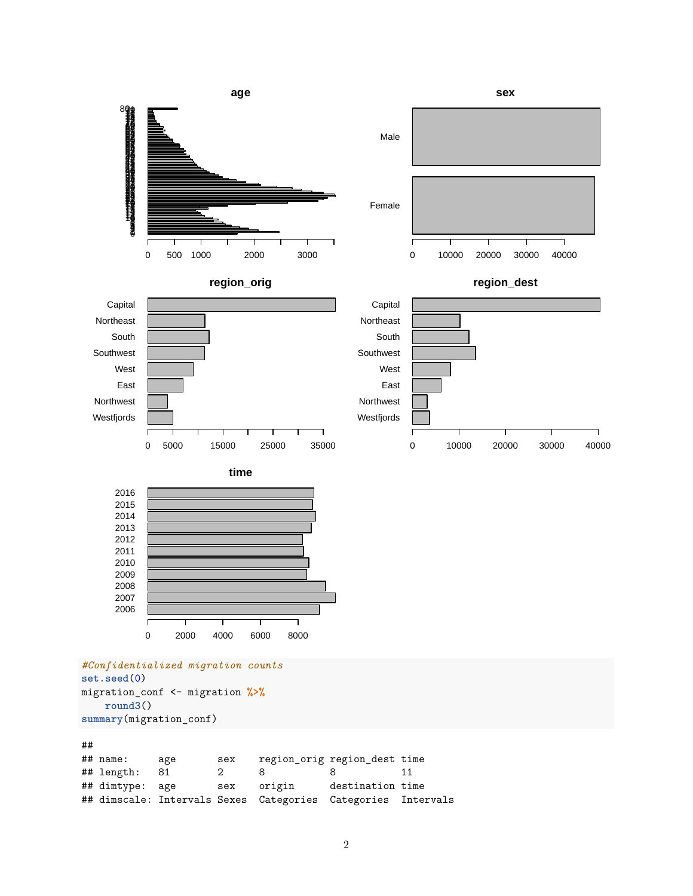



**region\_dest**



**time**



```
#Confidentialized migration counts
set.seed(0)
migration_conf <- migration %>%
    round3()
summary(migration_conf)
```
## ## name: age sex region\_orig region\_dest time ## length: 81 2 8 8 ## dimtype: age sex origin destination time ## dimscale: Intervals Sexes Categories Categories Intervals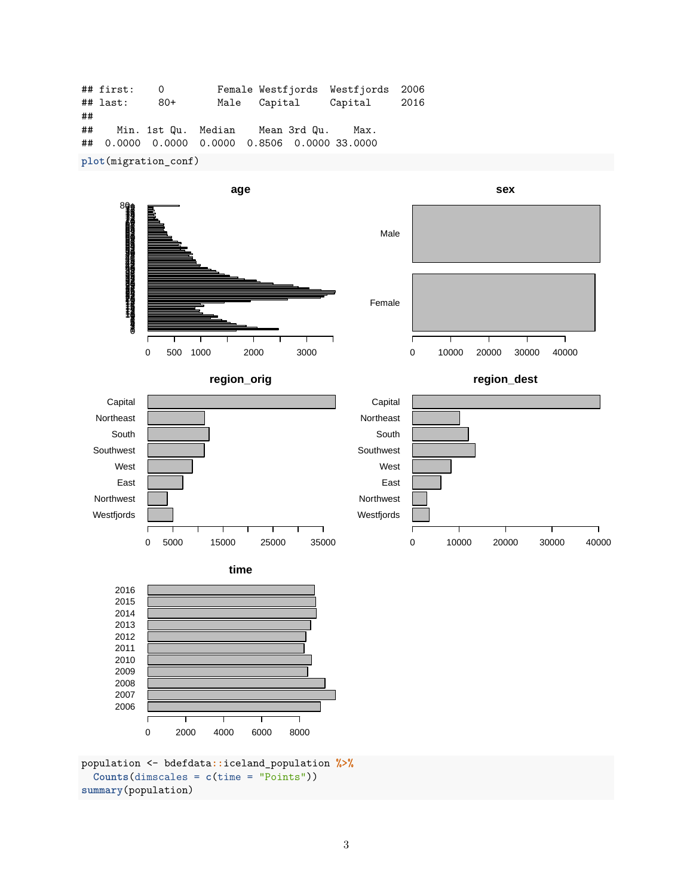|                      | ## first:    | 0    |  |                                               | Female Westfjords Westfjords 2006 |  |  |  |
|----------------------|--------------|------|--|-----------------------------------------------|-----------------------------------|--|--|--|
|                      | $\#$ # last: | -80+ |  | Male Capital                                  | Capital 2016                      |  |  |  |
| ##                   |              |      |  |                                               |                                   |  |  |  |
| ##                   |              |      |  | Min. 1st Qu. Median Mean 3rd Qu.              | Max.                              |  |  |  |
|                      |              |      |  | ## 0.0000 0.0000 0.0000 0.8506 0.0000 33.0000 |                                   |  |  |  |
| plot(migration_conf) |              |      |  |                                               |                                   |  |  |  |



population <- bdefdata**::**iceland\_population **%>% Counts**(dimscales = **c**(time = "Points")) **summary**(population)

ſ

0 2000 4000 6000 8000

T

3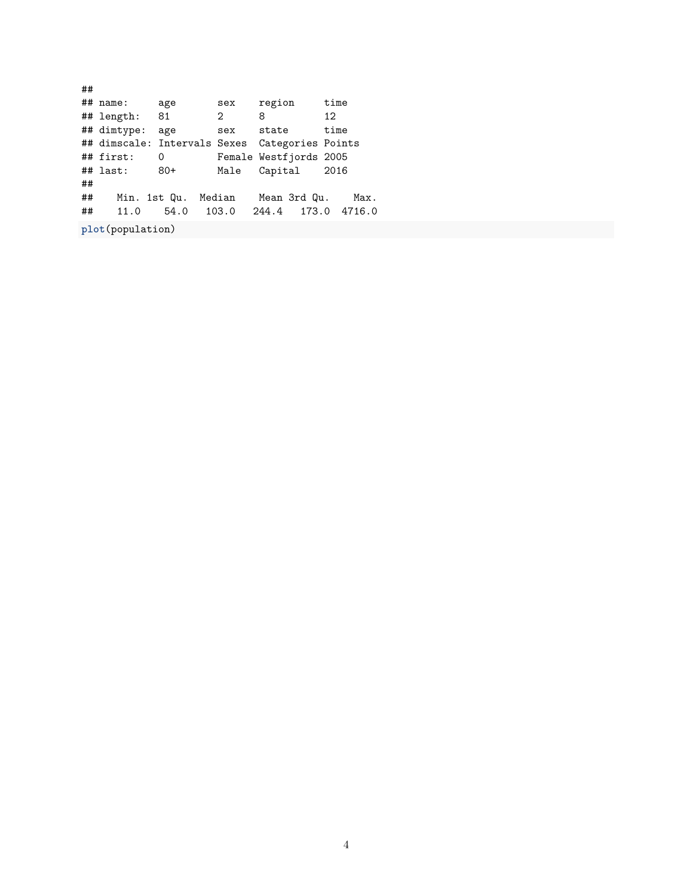## ## name: age sex region time ## length: 81 2 8 12 ## dimtype: age sex state time ## dimscale: Intervals Sexes Categories Points ## first: 0 Female Westfjords 2005 ## last: 80+ Male Capital 2016 ## ## Min. 1st Qu. Median Mean 3rd Qu. Max. ## 11.0 54.0 103.0 244.4 173.0 4716.0

**plot**(population)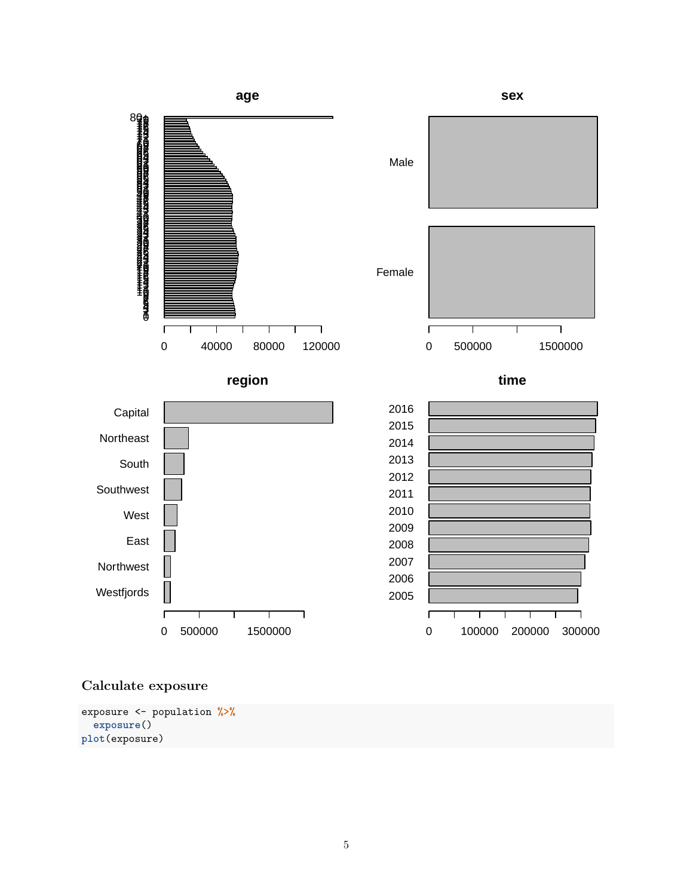

## **Calculate exposure**

exposure <- population **%>% exposure**() **plot**(exposure)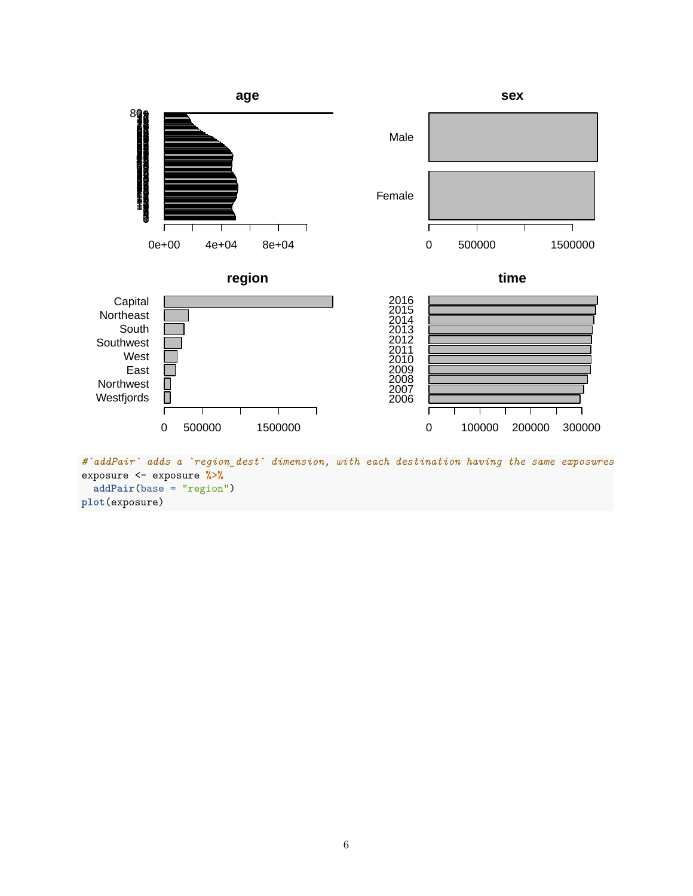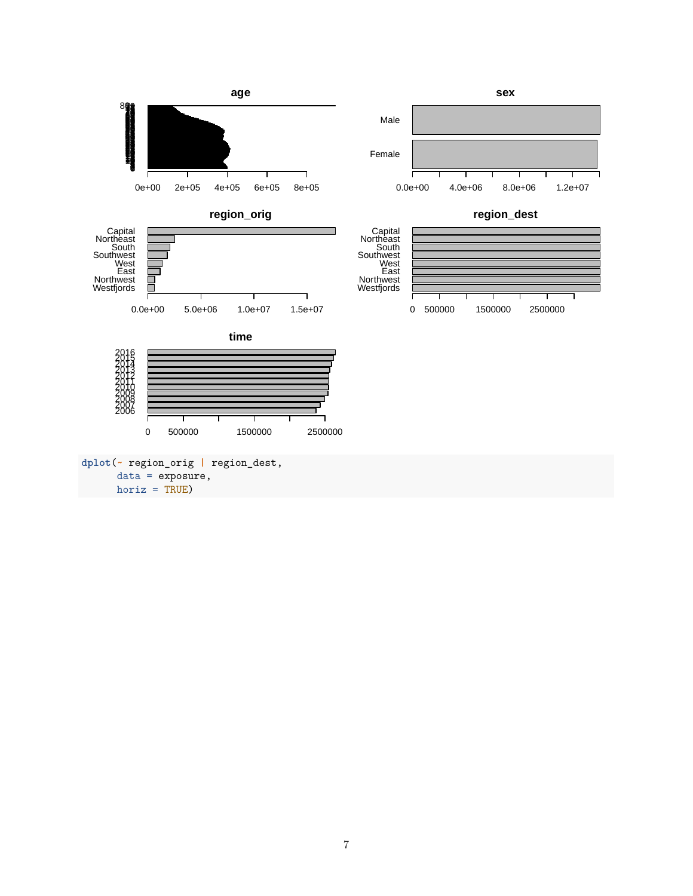

horiz = TRUE)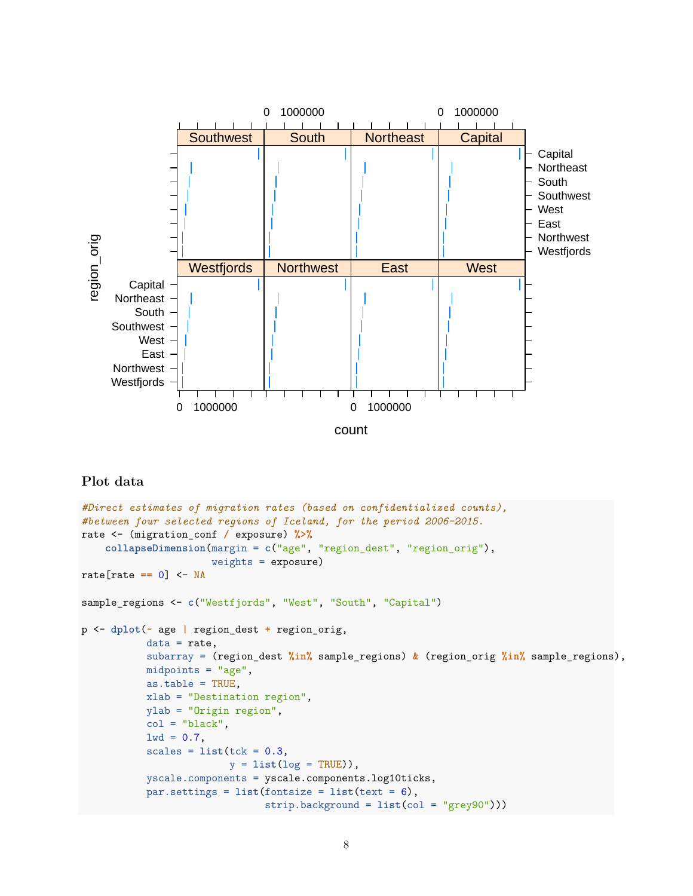

## **Plot data**

```
#Direct estimates of migration rates (based on confidentialized counts),
#between four selected regions of Iceland, for the period 2006–2015.
rate <- (migration_conf / exposure) %>%
    collapseDimension(margin = c("age", "region_dest", "region_orig"),
                      weights = exposure)
rate[rate == 0] <- NA
sample_regions <- c("Westfjords", "West", "South", "Capital")
p <- dplot(~ age | region_dest + region_orig,
           data = rate,subarray = (region_dest %in% sample_regions) & (region_orig %in% sample_regions),
           midpoints = "age",
           as.table = TRUE,
           xlab = "Destination region",
           ylab = "Origin region",
           col = "black",1wd = 0.7,
           scales = list(tck = 0.3,y = list(log = TRUE)),
           yscale.components = yscale.components.log10ticks,
           par.settings = list(fontsize = list(text = 6),
                               strip.background = list(col = "grey90")))
```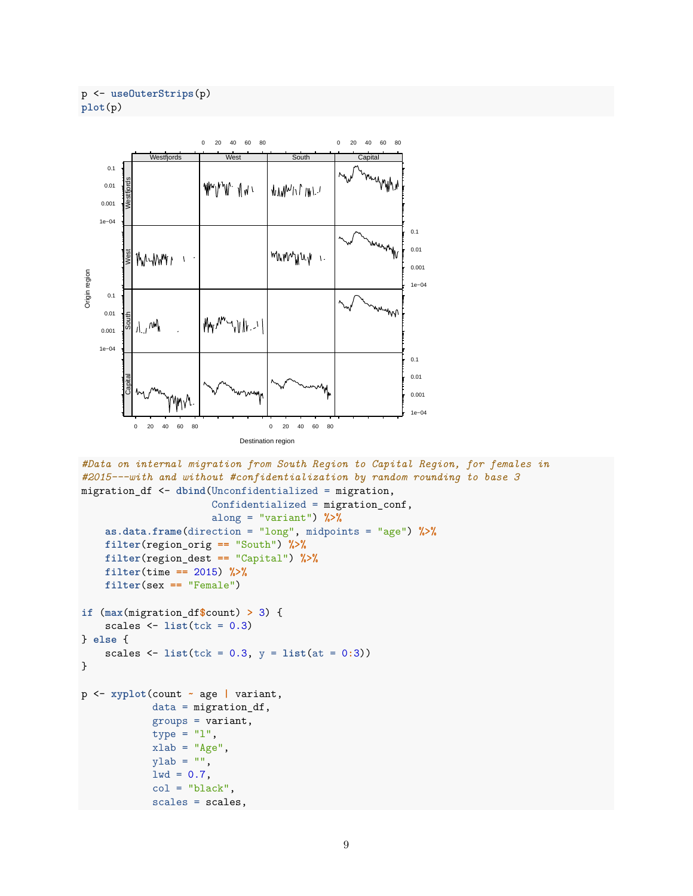```
p <- useOuterStrips(p)
plot(p)
```


```
#Data on internal migration from South Region to Capital Region, for females in
#2015---with and without #confidentialization by random rounding to base 3
migration_df <- dbind(Unconfidentialized = migration,
                      Confidentialized = migration_conf,
                      along = "variant") %>%
    as.data.frame(direction = "long", midpoints = "age") %>%
    filter(region_orig == "South") %>%
    filter(region_dest == "Capital") %>%
    filter(time == 2015) %>%
    filter(sex == "Female")
if (max(migration_df$count) > 3) {
    scales \leftarrow list(tck = 0.3)} else {
    scales \leftarrow list(tck = 0.3, y = list(at = 0.3))}
p <- xyplot(count ~ age | variant,
            data = migration_df,
            groups = variant,type = "1",
            xlab = "Age",vlab = "",
            1wd = 0.7,
            col = "black",scales = scales,
```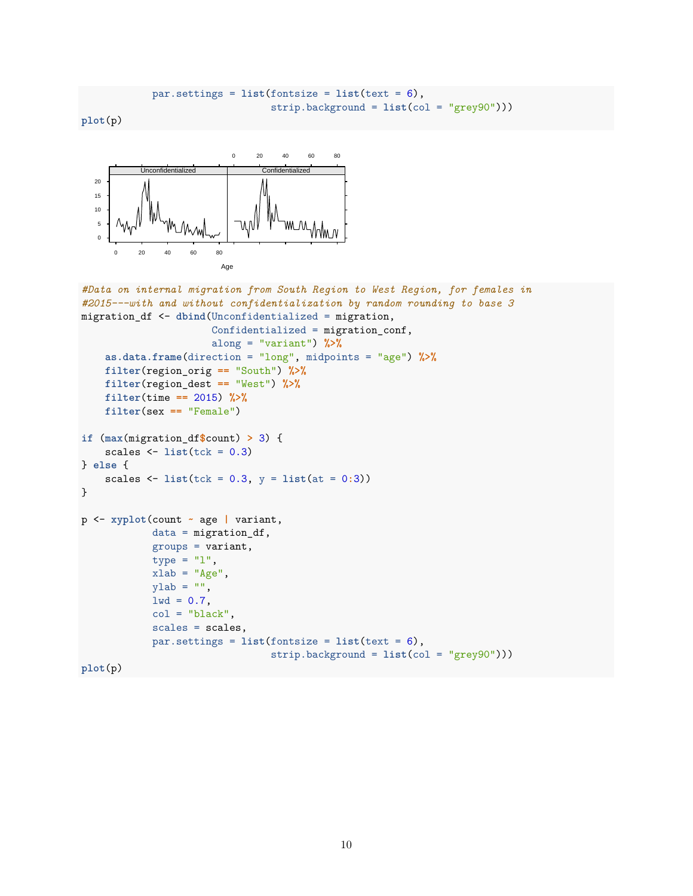```
par.settings = list(fontsize = list(text = 6),strip.background = list(col = "grey90")))
```
**plot**(p)



```
#Data on internal migration from South Region to West Region, for females in
#2015---with and without confidentialization by random rounding to base 3
migration_df <- dbind(Unconfidentialized = migration,
                      Confidentialized = migration_conf,
                      along = "variant") %>%
    as.data.frame(direction = "long", midpoints = "age") %>%
    filter(region_orig == "South") %>%
    filter(region_dest == "West") %>%
    filter(time == 2015) %>%
    filter(sex == "Female")
if (max(migration_df$count) > 3) {
    scales \leftarrow list(tck = 0.3)} else {
    scales \leftarrow list(tck = 0.3, y = list(at = 0:3))
}
p <- xyplot(count ~ age | variant,
            data = migration_df,
            groups = variant,
            type = "1",xlab = "Age",ylab = "",
            1wd = 0.7,
            col = "black",scales = scales,
            par.settings = list(fontsize = list(text = 6),
                                 strip.background = list(col = "grey90")))
plot(p)
```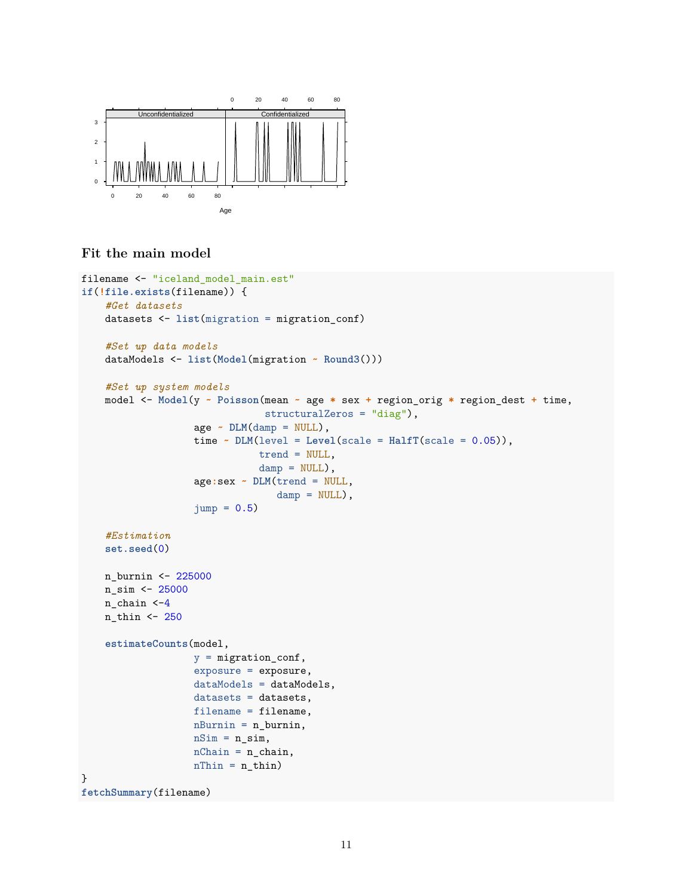

#### **Fit the main model**

```
filename <- "iceland_model_main.est"
if(!file.exists(filename)) {
    #Get datasets
    datasets <- list(migration = migration_conf)
    #Set up data models
    dataModels <- list(Model(migration ~ Round3()))
    #Set up system models
    model <- Model(y ~ Poisson(mean ~ age * sex + region_orig * region_dest + time,
                               structuralZeros = "diag"),
                   age ~ DLM(damp = NULL),
                   time \sim DLM(level = Level(scale = HalfT(scale = 0.05)),trend = NULL,
                              damp = NULL,
                   age:sex ~ DLM(trend = NULL,
                                 damp = NULL,
                   jump = 0.5#Estimation
    set.seed(0)
    n_burnin <- 225000
    n_sim <- 25000
    n_chain <-4
    n_thin <- 250
    estimateCounts(model,
                   y = migration_conf,
                   exposure = exposure,
                   dataModels = dataModels,
                   datasets = datasets,filename = filename,
                   nBurnin = n_burnin,
                   nSim = n_sim,nChain = n_{chain},
                   nThin = n_thin)}
fetchSummary(filename)
```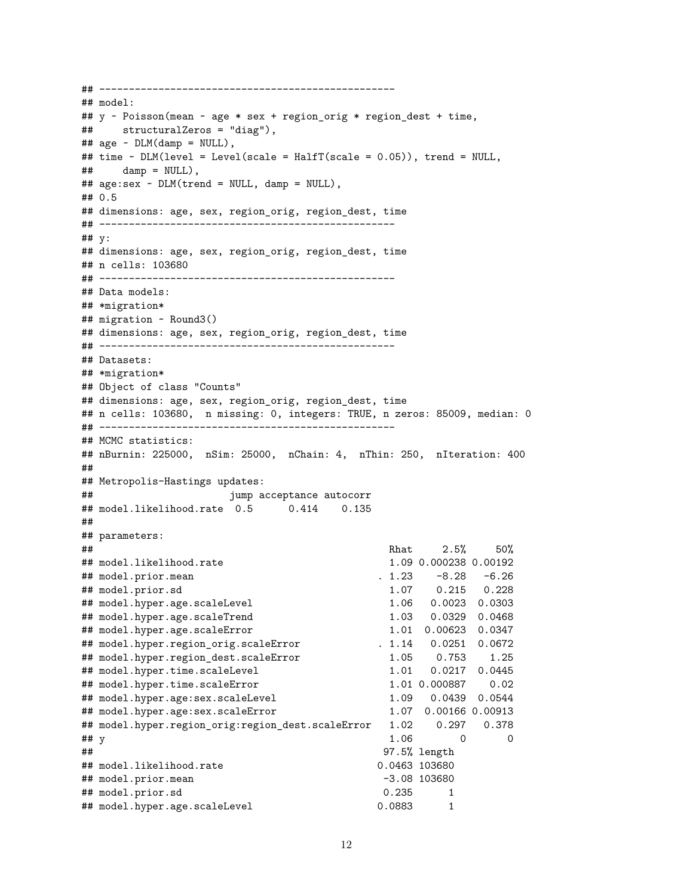```
## --------------------------------------------------
## model:
## y ~ Poisson(mean ~ age * sex + region_orig * region_dest + time,
## structuralZeros = "diag"),
## age ~ DLM(damp = NULL),
## time ~ DLM(level = Level(scale = HalfT(scale = 0.05)), trend = NULL,
\## damp = NULL),
## age:sex ~ DLM(trend = NULL, damp = NULL),
## 0.5
## dimensions: age, sex, region_orig, region_dest, time
## --------------------------------------------------
## y:
## dimensions: age, sex, region_orig, region_dest, time
## n cells: 103680
## --------------------------------------------------
## Data models:
## *migration*
## migration ~ Round3()
## dimensions: age, sex, region_orig, region_dest, time
## --------------------------------------------------
## Datasets:
## *migration*
## Object of class "Counts"
## dimensions: age, sex, region_orig, region_dest, time
## n cells: 103680, n missing: 0, integers: TRUE, n zeros: 85009, median: 0
## --------------------------------------------------
## MCMC statistics:
## nBurnin: 225000, nSim: 25000, nChain: 4, nThin: 250, nIteration: 400
##
## Metropolis-Hastings updates:
## jump acceptance autocorr
## model.likelihood.rate 0.5 0.414 0.135
##
## parameters:
## Rhat 2.5% 50%
## model.likelihood.rate 1.09 0.000238 0.00192
## model.prior.mean . 1.23 -8.28 -6.26
## model.prior.sd 1.07 0.215 0.228
## model.hyper.age.scaleLevel 1.06 0.0023 0.0303
## model.hyper.age.scaleTrend 1.03 0.0329 0.0468
## model.hyper.age.scaleError 1.01 0.00623 0.0347
## model.hyper.region_orig.scaleError . 1.14 0.0251 0.0672
## model.hyper.region_dest.scaleError 1.05 0.753 1.25
## model.hyper.time.scaleLevel 1.01 0.0217 0.0445
## model.hyper.time.scaleError 1.01 0.000887 0.02
## model.hyper.age:sex.scaleLevel 1.09 0.0439 0.0544
## model.hyper.age:sex.scaleError
## model.hyper.region_orig:region_dest.scaleError 1.02 0.297 0.378
## y 1.06 0 0
## 97.5% length
## model.likelihood.rate 0.0463 103680
## model.prior.mean -3.08 103680
## model.prior.sd 0.235 1
## model.hyper.age.scaleLevel 0.0883 1
```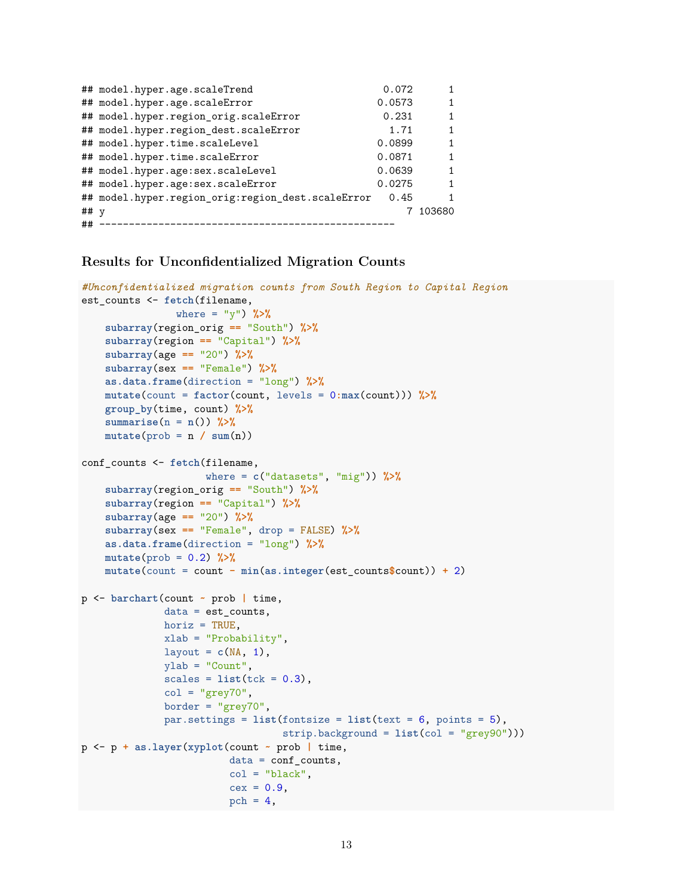|        | ## model.hyper.age.scaleTrend                     | 0.072  |        |
|--------|---------------------------------------------------|--------|--------|
|        | ## model.hyper.age.scaleError                     | 0.0573 |        |
|        | ## model.hyper.region_orig.scaleError             | 0.231  | 1      |
|        | ## model.hyper.region_dest.scaleError             | 1.71   | 1      |
|        | ## model.hyper.time.scaleLevel                    | 0.0899 | 1      |
|        | ## model.hyper.time.scaleError                    | 0.0871 | 1      |
|        | ## model.hyper.age:sex.scaleLevel                 | 0.0639 | 1      |
|        | ## model.hyper.age:sex.scaleError                 | 0.0275 | 1      |
|        | ## model.hyper.region orig:region dest.scaleError | 0.45   | 1      |
| ## $v$ |                                                   |        | 103680 |
| ##     |                                                   |        |        |

#### **Results for Unconfidentialized Migration Counts**

```
#Unconfidentialized migration counts from South Region to Capital Region
est counts <- fetch(filename,
                where = "y") %>%
    subarray(region_orig == "South") %>%
    subarray(region == "Capital") %>%
    subarray(age == "20") %>%
    subarray(sex == "Female") %>%
    as.data.frame(direction = "long") %>%
    mutate(count = factor(count, levels = 0:max(count))) %>%
    group_by(time, count) %>%
    summarise(n = n()) %>%
    mutate(prob = n / sum(n))
conf_counts <- fetch(filename,
                     where = c("datasets", "mig")) %>%
    subarray(region_orig == "South") %>%
    subarray(region == "Capital") %>%
    subarray(age == "20") %>%
    subarray(sex == "Female", drop = FALSE) %>%
    as.data.frame(direction = "long") %>%
    mutate(prob = 0.2) %>%
    mutate(count = count - min(as.integer(est_counts$count)) + 2)
p <- barchart(count ~ prob | time,
              data = est counts,horiz = TRUE,
              xlab = "Probability",
              layout = c(NA, 1),
              ylab = "Count",
              scales = list(tck = 0.3),col = "grey70",border = "grey70",
              par.settings = list(fontsize = list(text = 6, points = 5),
                                  strip.background = list(col = "grey90")))
p <- p + as.layer(xyplot(count ~ prob | time,
                         data = conf_counts,
                         col = "black",cex = 0.9,
                         pch = 4,
```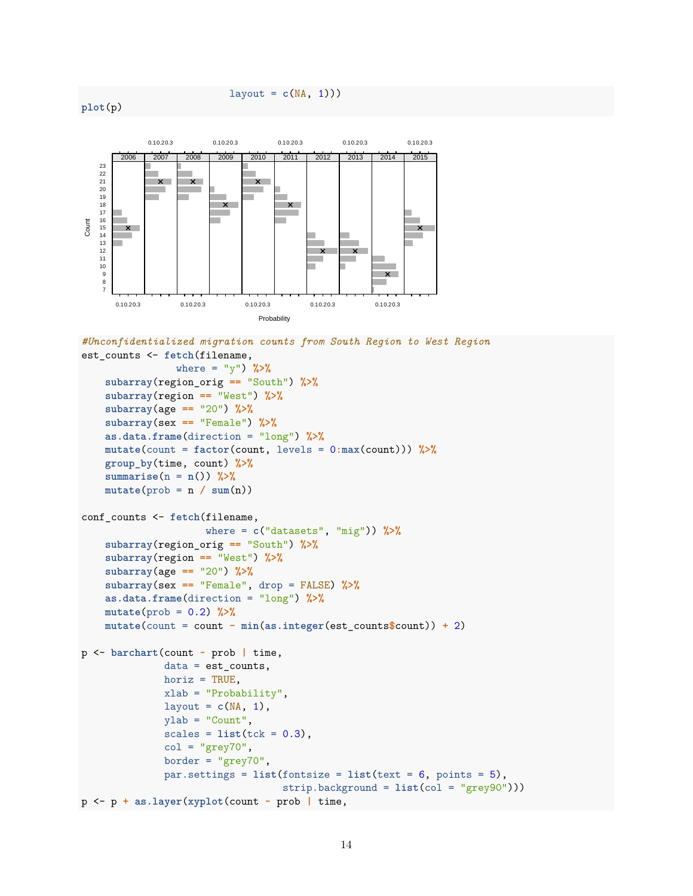#### layout =  $c(NA, 1))$





```
#Unconfidentialized migration counts from South Region to West Region
est_counts <- fetch(filename,
                where = "y") %>%
    subarray(region_orig == "South") %>%
    subarray(region == "West") %>%
    subarray(age == "20") %>%
    subarray(sex == "Female") %>%
    as.data.frame(direction = "long") %>%
    mutate(count = factor(count, levels = 0:max(count))) %>%
    group_by(time, count) %>%
    summarise(n = n()) %>%
    mutate(prob = n / sum(n))
conf_counts <- fetch(filename,
                     where = c("datasets", "mig")) %>%
    subarray(region_orig == "South") %>%
    subarray(region == "West") %>%
    subarray(age == "20") %>%
    subarray(sex == "Female", drop = FALSE) %>%
    as.data.frame(direction = "long") %>%
    mutate(prob = 0.2) %>%
    mutate(count = count - min(as.integer(est_counts$count)) + 2)
p <- barchart(count ~ prob | time,
              data = est_counts,
              horiz = TRUE,
              xlab = "Probability",
              layout = c(NA, 1),
              ylab = "Count",
              scales = list(tck = 0.3),col = "grey70",border = "grey70",par.settings = list(fontsize = list(text = 6, points = 5),
                                  strip.background = list(col = "grey90")))
p <- p + as.layer(xyplot(count ~ prob | time,
```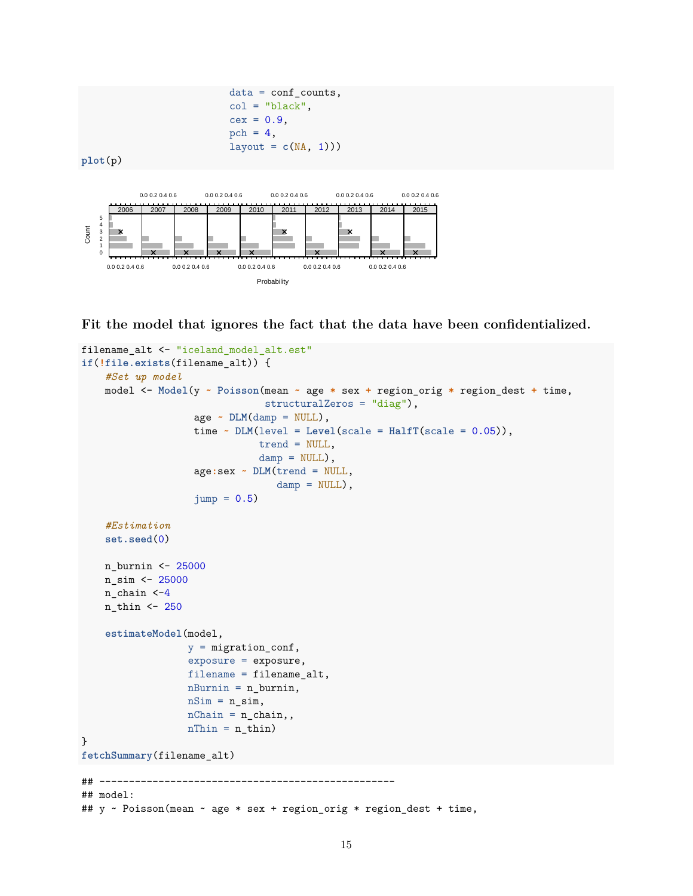

**Fit the model that ignores the fact that the data have been confidentialized.**

```
filename_alt <- "iceland_model_alt.est"
if(!file.exists(filename_alt)) {
    #Set up model
    model <- Model(y ~ Poisson(mean ~ age * sex + region_orig * region_dest + time,
                                 structuralZeros = "diag"),
                    age ~ DLM(damp = NULL),
                    time \sim DLM(level = Level(scale = Half(Scale = 0.05)),
                                trend = NULL,
                                damp = NULL,
                    age:sex ~ DLM(trend = NULL,
                                   \text{damp} = \text{NULL},
                    jump = 0.5#Estimation
    set.seed(0)
    n_burnin <- 25000
    n_sim <- 25000
    n_chain <-4
    n_thin <- 250
    estimateModel(model,
                   y = migration_conf,
                   exposure = exposure,
                   filename = filename_alt,
                   nBurnin = n_burnin,
                   nSim = n_sim,nChain = n_{chain},
                   nThin = n_thin)}
fetchSummary(filename_alt)
## --------------------------------------------------
## model:
## y ~ Poisson(mean ~ age * sex + region_orig * region_dest + time,
```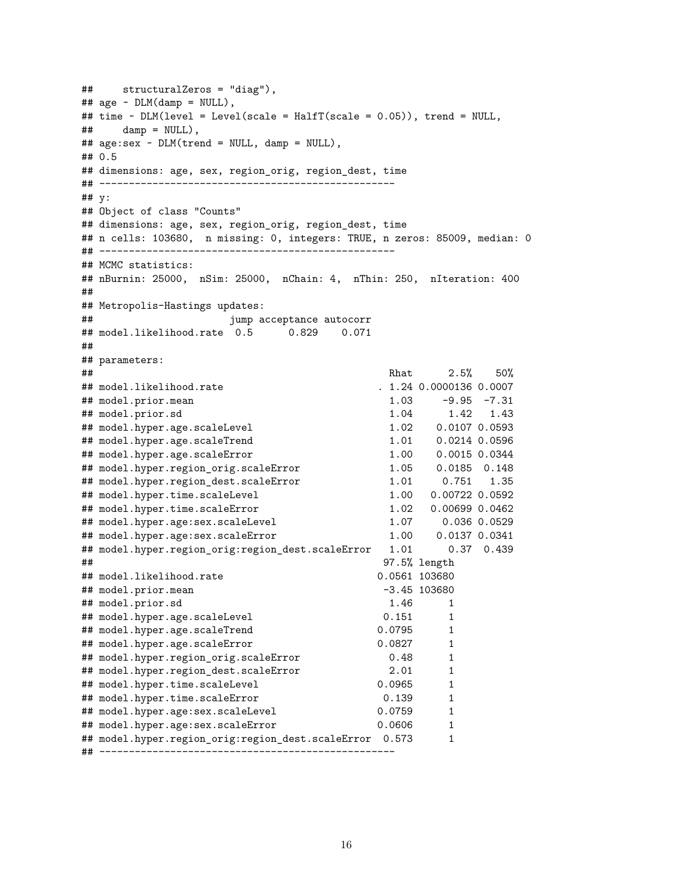```
## structuralZeros = "diag"),
## age ~ DLM(damp = NULL),
## time ~ DLM(level = Level(scale = HalfT(scale = 0.05)), trend = NULL,
\## damp = NULL),
## age:sex ~ DLM(trend = NULL, damp = NULL),
## 0.5
## dimensions: age, sex, region_orig, region_dest, time
## --------------------------------------------------
## y:
## Object of class "Counts"
## dimensions: age, sex, region_orig, region_dest, time
## n cells: 103680, n missing: 0, integers: TRUE, n zeros: 85009, median: 0
## --------------------------------------------------
## MCMC statistics:
## nBurnin: 25000, nSim: 25000, nChain: 4, nThin: 250, nIteration: 400
##
## Metropolis-Hastings updates:
## jump acceptance autocorr
## model.likelihood.rate 0.5 0.829 0.071
##
## parameters:
\## 2.5\% 50%
## model.likelihood.rate . 1.24 0.0000136 0.0007
## model.prior.mean 1.03 -9.95 -7.31
## model.prior.sd 1.04 1.42 1.43
## model.hyper.age.scaleLevel 1.02 0.0107 0.0593
## model.hyper.age.scaleTrend 1.01 0.0214 0.0596
## model.hyper.age.scaleError 1.00 0.0015 0.0344
## model.hyper.region_orig.scaleError 1.05 0.0185 0.148
## model.hyper.region_dest.scaleError 1.01 0.751 1.35
## model.hyper.time.scaleLevel 1.00 0.00722 0.0592
## model.hyper.time.scaleError
## model.hyper.age:sex.scaleLevel 1.07 0.036 0.0529
## model.hyper.age:sex.scaleError 1.00 0.0137 0.0341
## model.hyper.region orig:region dest.scaleError 1.01 0.37 0.439
## 97.5% length
## model.likelihood.rate 0.0561 103680
## model.prior.mean -3.45 103680
## model.prior.sd 1.46 1
## model.hyper.age.scaleLevel 0.151 1
## model.hyper.age.scaleTrend 0.0795 1
## model.hyper.age.scaleError 0.0827 1
## model.hyper.region_orig.scaleError 0.48 1
## model.hyper.region_dest.scaleError 2.01 1
## model.hyper.time.scaleLevel 0.0965 1
## model.hyper.time.scaleError 0.139 1
## model.hyper.age:sex.scaleLevel 0.0759 1<br>## model.hyper.age:sex.scaleError 0.0606 1
## model.hyper.age:sex.scaleError 0.0606
## model.hyper.region_orig:region_dest.scaleError 0.573 1
## --------------------------------------------------
```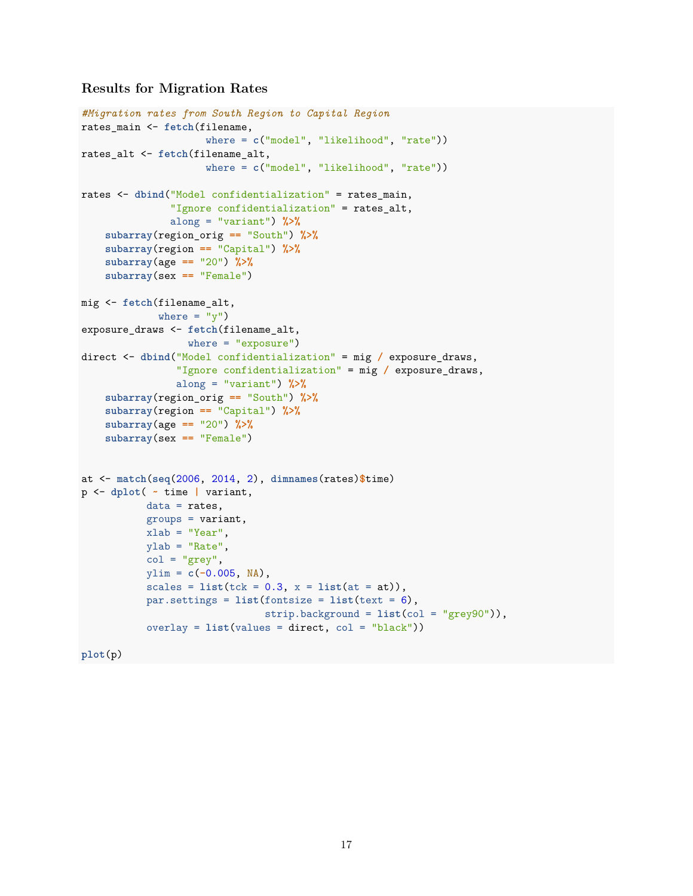## **Results for Migration Rates**

```
#Migration rates from South Region to Capital Region
rates_main <- fetch(filename,
                     where = c("model", "likelihood", "rate"))
rates_alt <- fetch(filename_alt,
                     where = c("model", "likelihood", "rate"))
rates <- dbind("Model confidentialization" = rates_main,
               "Ignore confidentialization" = rates_alt,
               along = "variant") %>%
    subarray(region_orig == "South") %>%
    subarray(region == "Capital") %>%
    subarray(age == "20") %>%
    subarray(sex == "Female")
mig <- fetch(filename_alt,
             where = "y")
exposure_draws <- fetch(filename_alt,
                 where = "exposure")
direct <- dbind("Model confidentialization" = mig / exposure_draws,
                "Ignore confidentialization" = mig / exposure_draws,
                along = "variant") %>%
    subarray(region_orig == "South") %>%
    subarray(region == "Capital") %>%
    subarray(age == "20") %>%
    subarray(sex == "Female")
at <- match(seq(2006, 2014, 2), dimnames(rates)$time)
p <- dplot( ~ time | variant,
           data = rates,groups = variant,
           xlab = "Year",
           ylab = "Rate",
           col = "grey",ylim = c(-0.005, NA),
           scales = list(tck = 0.3, x = list(at = at)),par.settings = list(fontsize = list(text = 6),
                               strip.background = list(col = "grey90")),
           overlay = list(values = direct, col = "black"))
```

```
plot(p)
```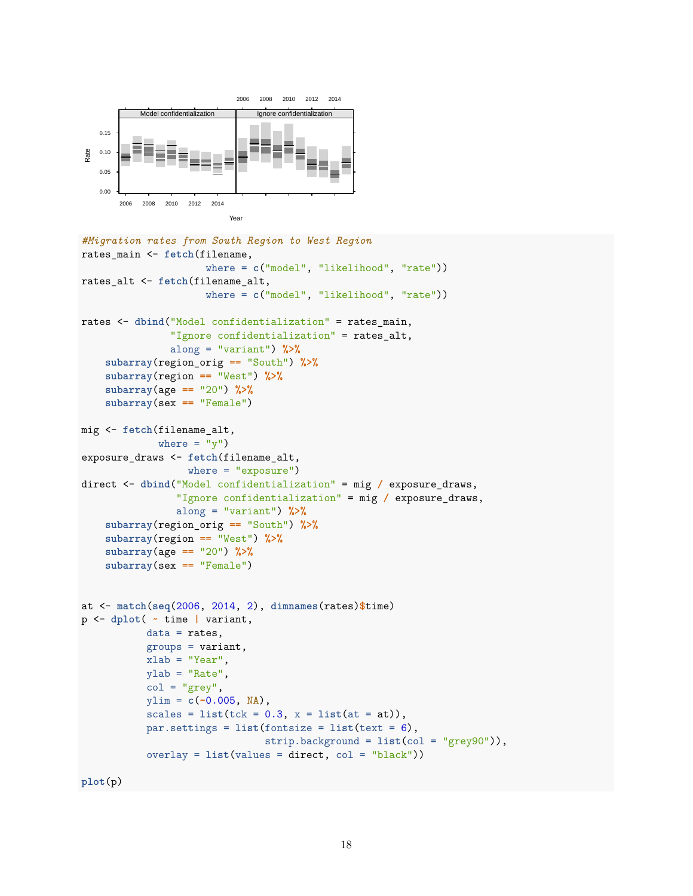

```
#Migration rates from South Region to West Region
rates_main <- fetch(filename,
                     where = c("model", "likelihood", "rate"))
rates_alt <- fetch(filename_alt,
                     where = c("model", "likelihood", "rate"))
rates <- dbind("Model confidentialization" = rates_main,
               "Ignore confidentialization" = rates_alt,
               along = "variant") %>%
    subarray(region_orig == "South") %>%
    subarray(region == "West") %>%
    subarray(age == "20") %>%
    subarray(sex == "Female")
mig <- fetch(filename_alt,
             where = "y")
exposure_draws <- fetch(filename_alt,
                  where = "exposure")
direct <- dbind("Model confidentialization" = mig / exposure_draws,
                "Ignore confidentialization" = mig / exposure_draws,
                along = "variant") %>%
    subarray(region_orig == "South") %>%
    subarray(region == "West") %>%
    subarray(age == "20") %>%
    subarray(sex == "Female")
at <- match(seq(2006, 2014, 2), dimnames(rates)$time)
p <- dplot( ~ time | variant,
           data = rates,
           groups = variant,
           xlab = "Year",
           ylab = "Rate",
           col = "grey",ylim = c(-0.005, NA),
           scales = list(tck = 0.3, x = list(at = at)),par.settings = list(fontsize = list(text = 6),
                               strip.background = list(col = "grey90")),
           overlay = list(values = direct, col = "black"))
```
**plot**(p)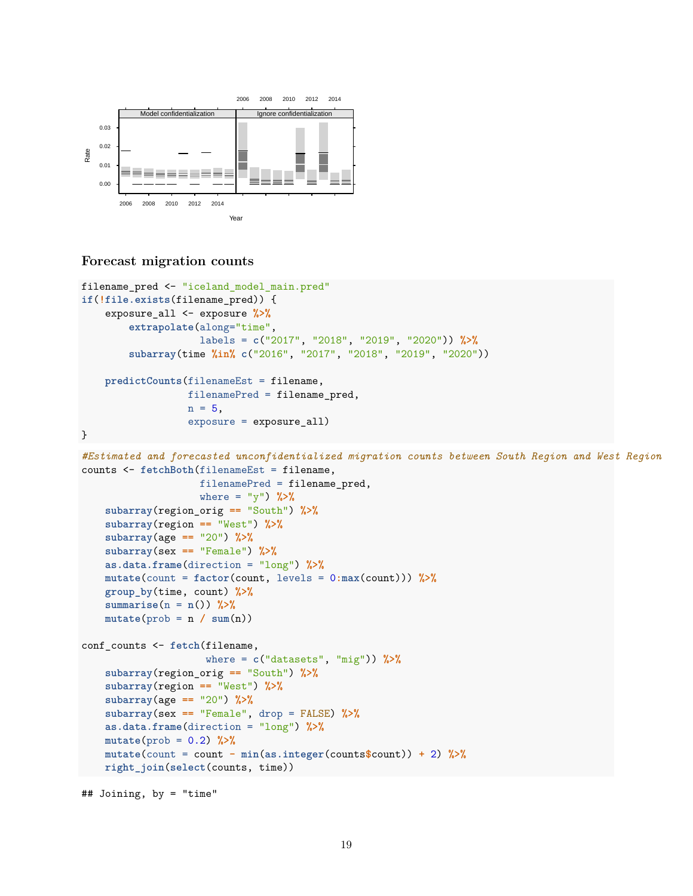

### **Forecast migration counts**

```
filename_pred <- "iceland_model_main.pred"
if(!file.exists(filename_pred)) {
    exposure_all <- exposure %>%
        extrapolate(along="time",
                    labels = c("2017", "2018", "2019", "2020")) %>%
        subarray(time %in% c("2016", "2017", "2018", "2019", "2020"))
   predictCounts(filenameEst = filename,
                  filenamePred = filename_pred,
                  n = 5,
                  exposure = exposure_all)
}
#Estimated and forecasted unconfidentialized migration counts between South Region and West Region
counts <- fetchBoth(filenameEst = filename,
                    filenamePred = filename_pred,
                    where = "y") %>%
   subarray(region_orig == "South") %>%
   subarray(region == "West") %>%
   subarray(age == "20") %>%
   subarray(sex == "Female") %>%
   as.data.frame(direction = "long") %>%
   mutate(count = factor(count, levels = 0:max(count))) %>%
   group_by(time, count) %>%
   summarise(n = n()) %>%
   mutate(prob = n / sum(n))conf_counts <- fetch(filename,
                     where = c("datasets", "mig")) %>%
   subarray(region_orig == "South") %>%
   subarray(region == "West") %>%
   subarray(age == "20") %>%
   subarray(sex == "Female", drop = FALSE) %>%
   as.data.frame(direction = "long") %>%
   mutate(prob = 0.2) %>%
   mutate(count = count - min(as.integer(counts$count)) + 2) %>%
   right_join(select(counts, time))
```

```
## Joining, by = "time"
```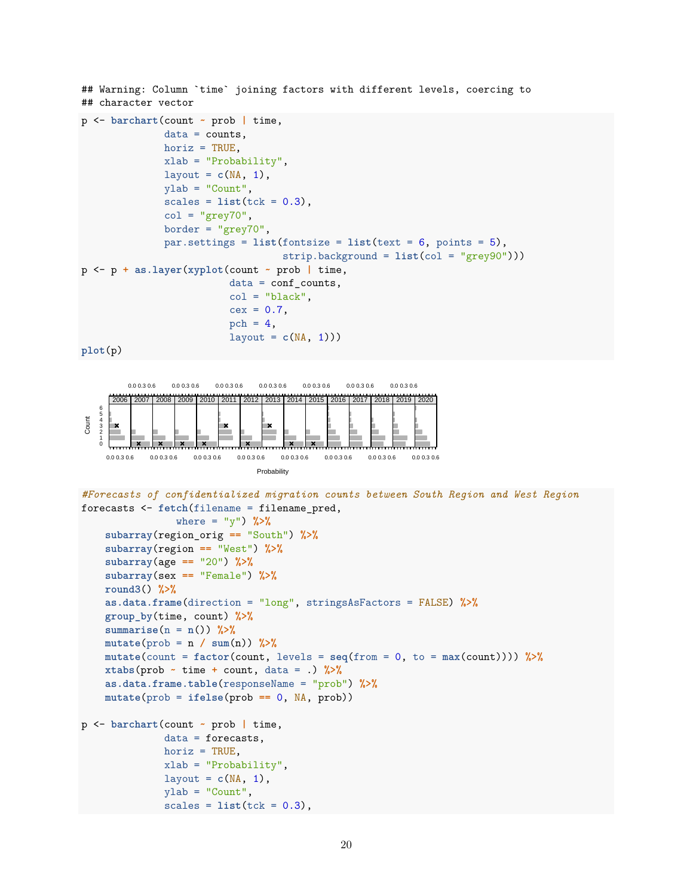## Warning: Column `time` joining factors with different levels, coercing to ## character vector

```
p <- barchart(count ~ prob | time,
              data = counts,horiz = TRUE,
              xlab = "Probability",
              layout = c(NA, 1),
              ylab = "Count",
              scales = list(tck = 0.3),col = "grey70",border = "grey70",
              par.settings = list(fontsize = list(text = 6, points = 5),
                                  strip.background = list(col = "grey90")))
p <- p + as.layer(xyplot(count ~ prob | time,
                         data = conf_counts,col = "black",cex = 0.7,
                         pch = 4,
                         layout = c(NA, 1))
```

```
plot(p)
```


 $scales = list(tck = 0.3)$ ,

```
#Forecasts of confidentialized migration counts between South Region and West Region
forecasts <- fetch(filename = filename_pred,
                where = "y") %>%
   subarray(region_orig == "South") %>%
   subarray(region == "West") %>%
   subarray(age == "20") %>%
   subarray(sex == "Female") %>%
   round3() %>%
   as.data.frame(direction = "long", stringsAsFactors = FALSE) %>%
   group_by(time, count) %>%
   summarise(n = n()) %>%
   mutate(prob = n / sum(n)) %>%
   mutate(count = factor(count, levels = seq(from = 0, to = max(count)))) %>%
   xtabs(prob ~ time + count, data = .) %>%
   as.data.frame.table(responseName = "prob") %>%
   mutate(prob = ifelse(prob == 0, NA, prob))
p <- barchart(count ~ prob | time,
              data = forecasts,
              horiz = TRUE,
              xlab = "Probability",
              layout = c(NA, 1),
             ylab = "Count",
```